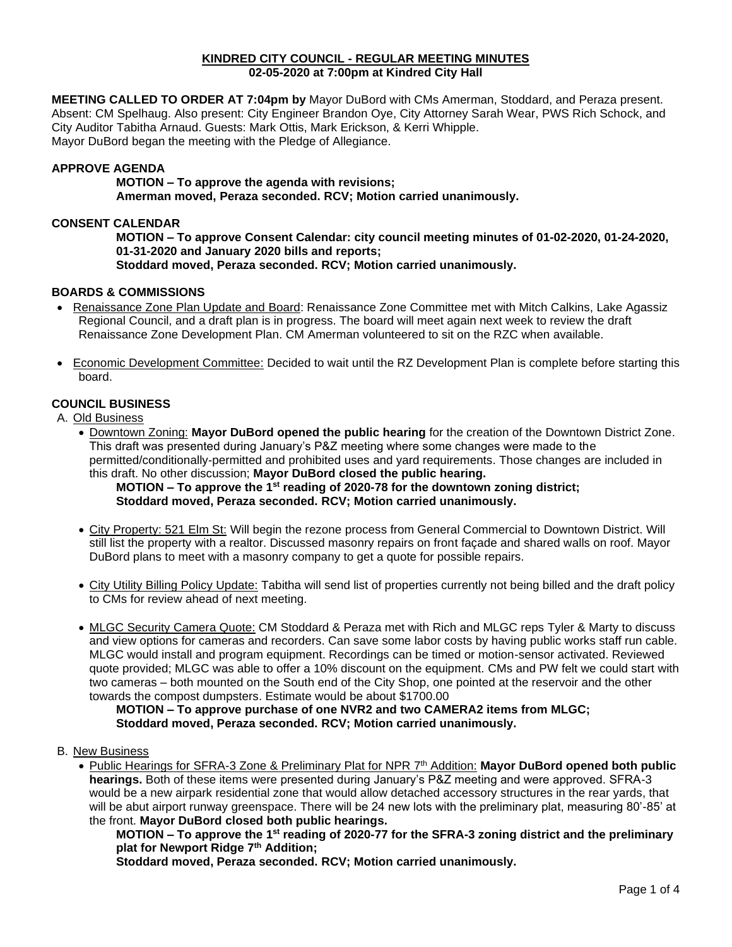#### **KINDRED CITY COUNCIL - REGULAR MEETING MINUTES 02-05-2020 at 7:00pm at Kindred City Hall**

**MEETING CALLED TO ORDER AT 7:04pm by** Mayor DuBord with CMs Amerman, Stoddard, and Peraza present. Absent: CM Spelhaug. Also present: City Engineer Brandon Oye, City Attorney Sarah Wear, PWS Rich Schock, and City Auditor Tabitha Arnaud. Guests: Mark Ottis, Mark Erickson, & Kerri Whipple. Mayor DuBord began the meeting with the Pledge of Allegiance.

## **APPROVE AGENDA**

**MOTION – To approve the agenda with revisions; Amerman moved, Peraza seconded. RCV; Motion carried unanimously.** 

#### **CONSENT CALENDAR**

**MOTION – To approve Consent Calendar: city council meeting minutes of 01-02-2020, 01-24-2020, 01-31-2020 and January 2020 bills and reports; Stoddard moved, Peraza seconded. RCV; Motion carried unanimously.**

## **BOARDS & COMMISSIONS**

- Renaissance Zone Plan Update and Board: Renaissance Zone Committee met with Mitch Calkins, Lake Agassiz Regional Council, and a draft plan is in progress. The board will meet again next week to review the draft Renaissance Zone Development Plan. CM Amerman volunteered to sit on the RZC when available.
- Economic Development Committee: Decided to wait until the RZ Development Plan is complete before starting this board.

## **COUNCIL BUSINESS**

A. Old Business

• Downtown Zoning: **Mayor DuBord opened the public hearing** for the creation of the Downtown District Zone. This draft was presented during January's P&Z meeting where some changes were made to the permitted/conditionally-permitted and prohibited uses and yard requirements. Those changes are included in this draft. No other discussion; **Mayor DuBord closed the public hearing.**

## **MOTION – To approve the 1st reading of 2020-78 for the downtown zoning district; Stoddard moved, Peraza seconded. RCV; Motion carried unanimously.**

- City Property: 521 Elm St: Will begin the rezone process from General Commercial to Downtown District. Will still list the property with a realtor. Discussed masonry repairs on front façade and shared walls on roof. Mayor DuBord plans to meet with a masonry company to get a quote for possible repairs.
- City Utility Billing Policy Update: Tabitha will send list of properties currently not being billed and the draft policy to CMs for review ahead of next meeting.
- MLGC Security Camera Quote: CM Stoddard & Peraza met with Rich and MLGC reps Tyler & Marty to discuss and view options for cameras and recorders. Can save some labor costs by having public works staff run cable. MLGC would install and program equipment. Recordings can be timed or motion-sensor activated. Reviewed quote provided; MLGC was able to offer a 10% discount on the equipment. CMs and PW felt we could start with two cameras – both mounted on the South end of the City Shop, one pointed at the reservoir and the other towards the compost dumpsters. Estimate would be about \$1700.00

**MOTION – To approve purchase of one NVR2 and two CAMERA2 items from MLGC; Stoddard moved, Peraza seconded. RCV; Motion carried unanimously.**

#### B. New Business

• Public Hearings for SFRA-3 Zone & Preliminary Plat for NPR 7<sup>th</sup> Addition: **Mayor DuBord opened both public hearings.** Both of these items were presented during January's P&Z meeting and were approved. SFRA-3 would be a new airpark residential zone that would allow detached accessory structures in the rear yards, that will be abut airport runway greenspace. There will be 24 new lots with the preliminary plat, measuring 80'-85' at the front. **Mayor DuBord closed both public hearings.**

**MOTION – To approve the 1st reading of 2020-77 for the SFRA-3 zoning district and the preliminary plat for Newport Ridge 7th Addition;**

**Stoddard moved, Peraza seconded. RCV; Motion carried unanimously.**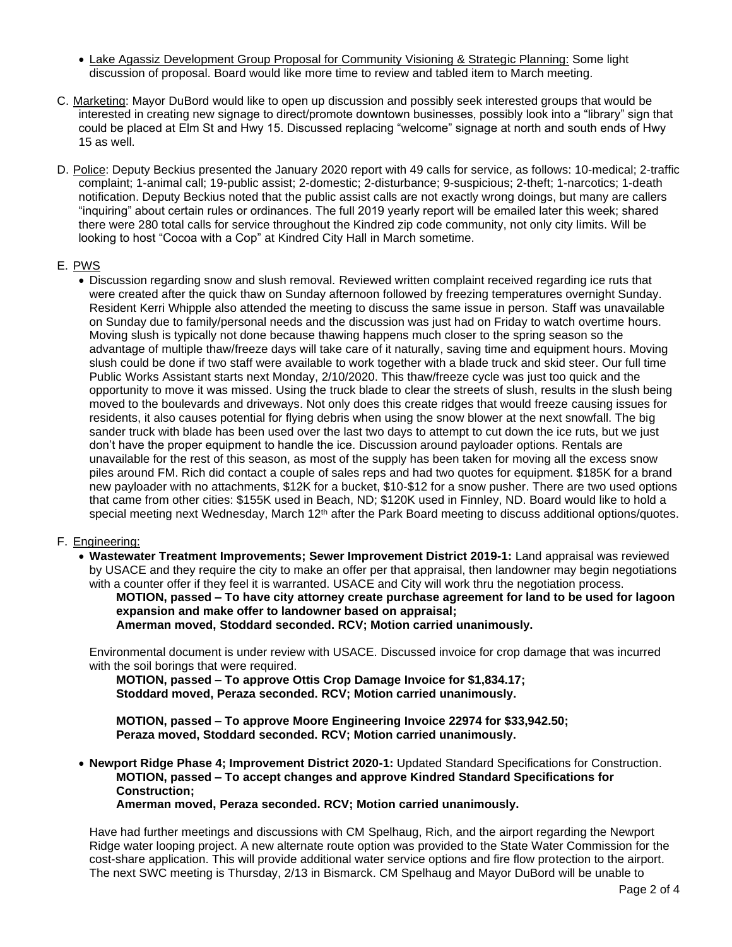- Lake Agassiz Development Group Proposal for Community Visioning & Strategic Planning: Some light discussion of proposal. Board would like more time to review and tabled item to March meeting.
- C. Marketing: Mayor DuBord would like to open up discussion and possibly seek interested groups that would be interested in creating new signage to direct/promote downtown businesses, possibly look into a "library" sign that could be placed at Elm St and Hwy 15. Discussed replacing "welcome" signage at north and south ends of Hwy 15 as well.
- D. Police: Deputy Beckius presented the January 2020 report with 49 calls for service, as follows: 10-medical; 2-traffic complaint; 1-animal call; 19-public assist; 2-domestic; 2-disturbance; 9-suspicious; 2-theft; 1-narcotics; 1-death notification. Deputy Beckius noted that the public assist calls are not exactly wrong doings, but many are callers "inquiring" about certain rules or ordinances. The full 2019 yearly report will be emailed later this week; shared there were 280 total calls for service throughout the Kindred zip code community, not only city limits. Will be looking to host "Cocoa with a Cop" at Kindred City Hall in March sometime.

## E. PWS

• Discussion regarding snow and slush removal. Reviewed written complaint received regarding ice ruts that were created after the quick thaw on Sunday afternoon followed by freezing temperatures overnight Sunday. Resident Kerri Whipple also attended the meeting to discuss the same issue in person. Staff was unavailable on Sunday due to family/personal needs and the discussion was just had on Friday to watch overtime hours. Moving slush is typically not done because thawing happens much closer to the spring season so the advantage of multiple thaw/freeze days will take care of it naturally, saving time and equipment hours. Moving slush could be done if two staff were available to work together with a blade truck and skid steer. Our full time Public Works Assistant starts next Monday, 2/10/2020. This thaw/freeze cycle was just too quick and the opportunity to move it was missed. Using the truck blade to clear the streets of slush, results in the slush being moved to the boulevards and driveways. Not only does this create ridges that would freeze causing issues for residents, it also causes potential for flying debris when using the snow blower at the next snowfall. The big sander truck with blade has been used over the last two days to attempt to cut down the ice ruts, but we just don't have the proper equipment to handle the ice. Discussion around payloader options. Rentals are unavailable for the rest of this season, as most of the supply has been taken for moving all the excess snow piles around FM. Rich did contact a couple of sales reps and had two quotes for equipment. \$185K for a brand new payloader with no attachments, \$12K for a bucket, \$10-\$12 for a snow pusher. There are two used options that came from other cities: \$155K used in Beach, ND; \$120K used in Finnley, ND. Board would like to hold a special meeting next Wednesday, March 12<sup>th</sup> after the Park Board meeting to discuss additional options/quotes.

# F. Engineering:

• **Wastewater Treatment Improvements; Sewer Improvement District 2019-1:** Land appraisal was reviewed by USACE and they require the city to make an offer per that appraisal, then landowner may begin negotiations with a counter offer if they feel it is warranted. USACE and City will work thru the negotiation process.

**MOTION, passed – To have city attorney create purchase agreement for land to be used for lagoon expansion and make offer to landowner based on appraisal;**

**Amerman moved, Stoddard seconded. RCV; Motion carried unanimously.** 

Environmental document is under review with USACE. Discussed invoice for crop damage that was incurred with the soil borings that were required.

**MOTION, passed – To approve Ottis Crop Damage Invoice for \$1,834.17; Stoddard moved, Peraza seconded. RCV; Motion carried unanimously.**

**MOTION, passed – To approve Moore Engineering Invoice 22974 for \$33,942.50; Peraza moved, Stoddard seconded. RCV; Motion carried unanimously.**

• **Newport Ridge Phase 4; Improvement District 2020-1:** Updated Standard Specifications for Construction. **MOTION, passed – To accept changes and approve Kindred Standard Specifications for Construction; Amerman moved, Peraza seconded. RCV; Motion carried unanimously.**

Have had further meetings and discussions with CM Spelhaug, Rich, and the airport regarding the Newport Ridge water looping project. A new alternate route option was provided to the State Water Commission for the cost-share application. This will provide additional water service options and fire flow protection to the airport. The next SWC meeting is Thursday, 2/13 in Bismarck. CM Spelhaug and Mayor DuBord will be unable to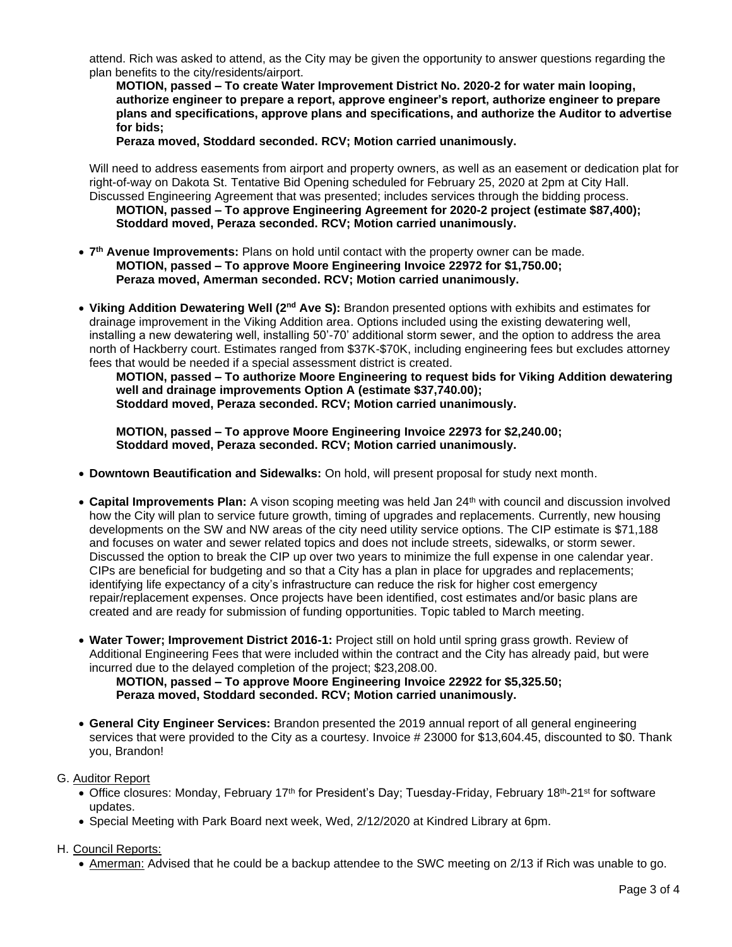attend. Rich was asked to attend, as the City may be given the opportunity to answer questions regarding the plan benefits to the city/residents/airport.

**MOTION, passed – To create Water Improvement District No. 2020-2 for water main looping, authorize engineer to prepare a report, approve engineer's report, authorize engineer to prepare plans and specifications, approve plans and specifications, and authorize the Auditor to advertise for bids;**

**Peraza moved, Stoddard seconded. RCV; Motion carried unanimously.** 

Will need to address easements from airport and property owners, as well as an easement or dedication plat for right-of-way on Dakota St. Tentative Bid Opening scheduled for February 25, 2020 at 2pm at City Hall. Discussed Engineering Agreement that was presented; includes services through the bidding process.

**MOTION, passed – To approve Engineering Agreement for 2020-2 project (estimate \$87,400); Stoddard moved, Peraza seconded. RCV; Motion carried unanimously.** 

- **7 th Avenue Improvements:** Plans on hold until contact with the property owner can be made. **MOTION, passed – To approve Moore Engineering Invoice 22972 for \$1,750.00; Peraza moved, Amerman seconded. RCV; Motion carried unanimously.**
- **Viking Addition Dewatering Well (2nd Ave S):** Brandon presented options with exhibits and estimates for drainage improvement in the Viking Addition area. Options included using the existing dewatering well, installing a new dewatering well, installing 50'-70' additional storm sewer, and the option to address the area north of Hackberry court. Estimates ranged from \$37K-\$70K, including engineering fees but excludes attorney fees that would be needed if a special assessment district is created.

**MOTION, passed – To authorize Moore Engineering to request bids for Viking Addition dewatering well and drainage improvements Option A (estimate \$37,740.00); Stoddard moved, Peraza seconded. RCV; Motion carried unanimously.** 

**MOTION, passed – To approve Moore Engineering Invoice 22973 for \$2,240.00; Stoddard moved, Peraza seconded. RCV; Motion carried unanimously.** 

- **Downtown Beautification and Sidewalks:** On hold, will present proposal for study next month.
- **Capital Improvements Plan:** A vison scoping meeting was held Jan 24th with council and discussion involved how the City will plan to service future growth, timing of upgrades and replacements. Currently, new housing developments on the SW and NW areas of the city need utility service options. The CIP estimate is \$71,188 and focuses on water and sewer related topics and does not include streets, sidewalks, or storm sewer. Discussed the option to break the CIP up over two years to minimize the full expense in one calendar year. CIPs are beneficial for budgeting and so that a City has a plan in place for upgrades and replacements; identifying life expectancy of a city's infrastructure can reduce the risk for higher cost emergency repair/replacement expenses. Once projects have been identified, cost estimates and/or basic plans are created and are ready for submission of funding opportunities. Topic tabled to March meeting.
- **Water Tower; Improvement District 2016-1:** Project still on hold until spring grass growth. Review of Additional Engineering Fees that were included within the contract and the City has already paid, but were incurred due to the delayed completion of the project; \$23,208.00.

**MOTION, passed – To approve Moore Engineering Invoice 22922 for \$5,325.50; Peraza moved, Stoddard seconded. RCV; Motion carried unanimously.** 

- **General City Engineer Services:** Brandon presented the 2019 annual report of all general engineering services that were provided to the City as a courtesy. Invoice # 23000 for \$13,604.45, discounted to \$0. Thank you, Brandon!
- G. Auditor Report
	- Office closures: Monday, February 17<sup>th</sup> for President's Day; Tuesday-Friday, February 18<sup>th</sup>-21<sup>st</sup> for software updates.
	- Special Meeting with Park Board next week, Wed, 2/12/2020 at Kindred Library at 6pm.

H. Council Reports:

• Amerman: Advised that he could be a backup attendee to the SWC meeting on 2/13 if Rich was unable to go.